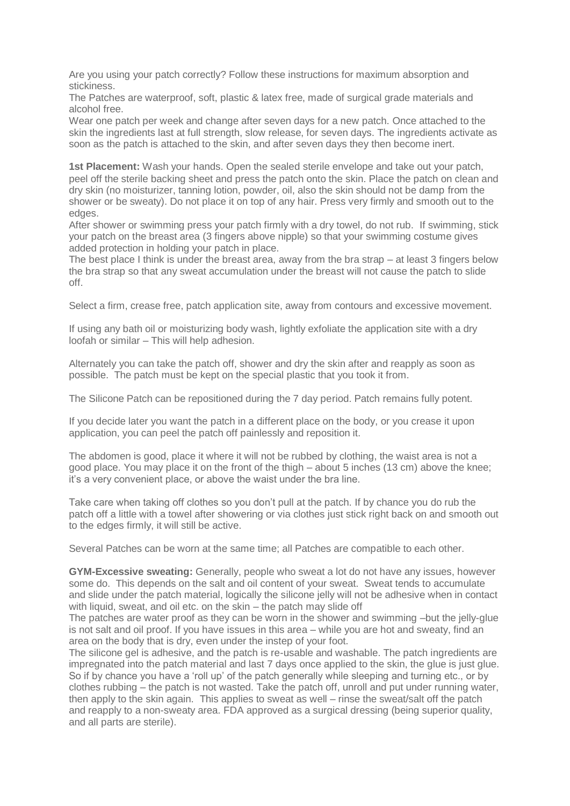Are you using your patch correctly? Follow these instructions for maximum absorption and stickiness.

The Patches are waterproof, soft, plastic & latex free, made of surgical grade materials and alcohol free.

Wear one patch per week and change after seven days for a new patch. Once attached to the skin the ingredients last at full strength, slow release, for seven days. The ingredients activate as soon as the patch is attached to the skin, and after seven days they then become inert.

**1st Placement:** Wash your hands. Open the sealed sterile envelope and take out your patch, peel off the sterile backing sheet and press the patch onto the skin. Place the patch on clean and dry skin (no moisturizer, tanning lotion, powder, oil, also the skin should not be damp from the shower or be sweaty). Do not place it on top of any hair. Press very firmly and smooth out to the edges.

After shower or swimming press your patch firmly with a dry towel, do not rub. If swimming, stick your patch on the breast area (3 fingers above nipple) so that your swimming costume gives added protection in holding your patch in place.

The best place I think is under the breast area, away from the bra strap – at least 3 fingers below the bra strap so that any sweat accumulation under the breast will not cause the patch to slide off.

Select a firm, crease free, patch application site, away from contours and excessive movement.

If using any bath oil or moisturizing body wash, lightly exfoliate the application site with a dry loofah or similar – This will help adhesion.

Alternately you can take the patch off, shower and dry the skin after and reapply as soon as possible. The patch must be kept on the special plastic that you took it from.

The Silicone Patch can be repositioned during the 7 day period. Patch remains fully potent.

If you decide later you want the patch in a different place on the body, or you crease it upon application, you can peel the patch off painlessly and reposition it.

The abdomen is good, place it where it will not be rubbed by clothing, the waist area is not a good place. You may place it on the front of the thigh – about 5 inches (13 cm) above the knee; it's a very convenient place, or above the waist under the bra line.

Take care when taking off clothes so you don't pull at the patch. If by chance you do rub the patch off a little with a towel after showering or via clothes just stick right back on and smooth out to the edges firmly, it will still be active.

Several Patches can be worn at the same time; all Patches are compatible to each other.

**GYM-Excessive sweating:** Generally, people who sweat a lot do not have any issues, however some do. This depends on the salt and oil content of your sweat. Sweat tends to accumulate and slide under the patch material, logically the silicone jelly will not be adhesive when in contact with liquid, sweat, and oil etc. on the skin – the patch may slide off

The patches are water proof as they can be worn in the shower and swimming –but the jelly-glue is not salt and oil proof. If you have issues in this area – while you are hot and sweaty, find an area on the body that is dry, even under the instep of your foot.

The silicone gel is adhesive, and the patch is re-usable and washable. The patch ingredients are impregnated into the patch material and last 7 days once applied to the skin, the glue is just glue. So if by chance you have a 'roll up' of the patch generally while sleeping and turning etc., or by clothes rubbing – the patch is not wasted. Take the patch off, unroll and put under running water, then apply to the skin again. This applies to sweat as well – rinse the sweat/salt off the patch and reapply to a non-sweaty area. FDA approved as a surgical dressing (being superior quality, and all parts are sterile).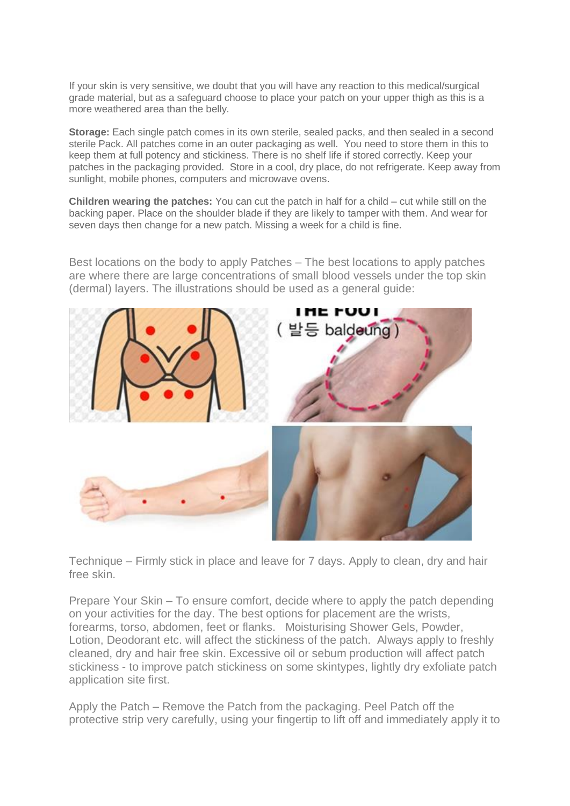If your skin is very sensitive, we doubt that you will have any reaction to this medical/surgical grade material, but as a safeguard choose to place your patch on your upper thigh as this is a more weathered area than the belly.

**Storage:** Each single patch comes in its own sterile, sealed packs, and then sealed in a second sterile Pack. All patches come in an outer packaging as well. You need to store them in this to keep them at full potency and stickiness. There is no shelf life if stored correctly. Keep your patches in the packaging provided. Store in a cool, dry place, do not refrigerate. Keep away from sunlight, mobile phones, computers and microwave ovens.

**Children wearing the patches:** You can cut the patch in half for a child – cut while still on the backing paper. Place on the shoulder blade if they are likely to tamper with them. And wear for seven days then change for a new patch. Missing a week for a child is fine.

Best locations on the body to apply Patches – The best locations to apply patches are where there are large concentrations of small blood vessels under the top skin (dermal) layers. The illustrations should be used as a general guide:



Technique – Firmly stick in place and leave for 7 days. Apply to clean, dry and hair free skin.

Prepare Your Skin – To ensure comfort, decide where to apply the patch depending on your activities for the day. The best options for placement are the wrists, forearms, torso, abdomen, feet or flanks. Moisturising Shower Gels, Powder, Lotion, Deodorant etc. will affect the stickiness of the patch. Always apply to freshly cleaned, dry and hair free skin. Excessive oil or sebum production will affect patch stickiness - to improve patch stickiness on some skintypes, lightly dry exfoliate patch application site first.

Apply the Patch – Remove the Patch from the packaging. Peel Patch off the protective strip very carefully, using your fingertip to lift off and immediately apply it to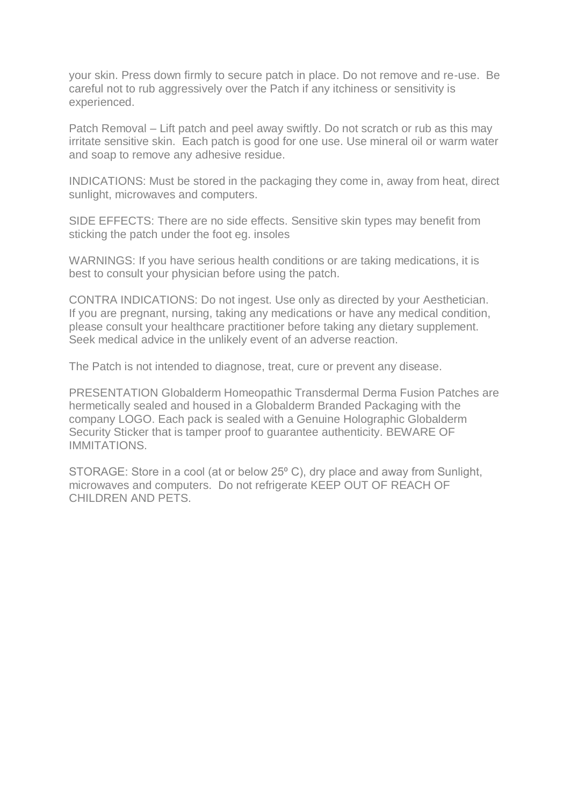your skin. Press down firmly to secure patch in place. Do not remove and re-use. Be careful not to rub aggressively over the Patch if any itchiness or sensitivity is experienced.

Patch Removal – Lift patch and peel away swiftly. Do not scratch or rub as this may irritate sensitive skin. Each patch is good for one use. Use mineral oil or warm water and soap to remove any adhesive residue.

INDICATIONS: Must be stored in the packaging they come in, away from heat, direct sunlight, microwaves and computers.

SIDE EFFECTS: There are no side effects. Sensitive skin types may benefit from sticking the patch under the foot eg. insoles

WARNINGS: If you have serious health conditions or are taking medications, it is best to consult your physician before using the patch.

CONTRA INDICATIONS: Do not ingest. Use only as directed by your Aesthetician. If you are pregnant, nursing, taking any medications or have any medical condition, please consult your healthcare practitioner before taking any dietary supplement. Seek medical advice in the unlikely event of an adverse reaction.

The Patch is not intended to diagnose, treat, cure or prevent any disease.

PRESENTATION Globalderm Homeopathic Transdermal Derma Fusion Patches are hermetically sealed and housed in a Globalderm Branded Packaging with the company LOGO. Each pack is sealed with a Genuine Holographic Globalderm Security Sticker that is tamper proof to guarantee authenticity. BEWARE OF IMMITATIONS.

STORAGE: Store in a cool (at or below 25 $^{\circ}$  C), dry place and away from Sunlight, microwaves and computers. Do not refrigerate KEEP OUT OF REACH OF CHILDREN AND PETS.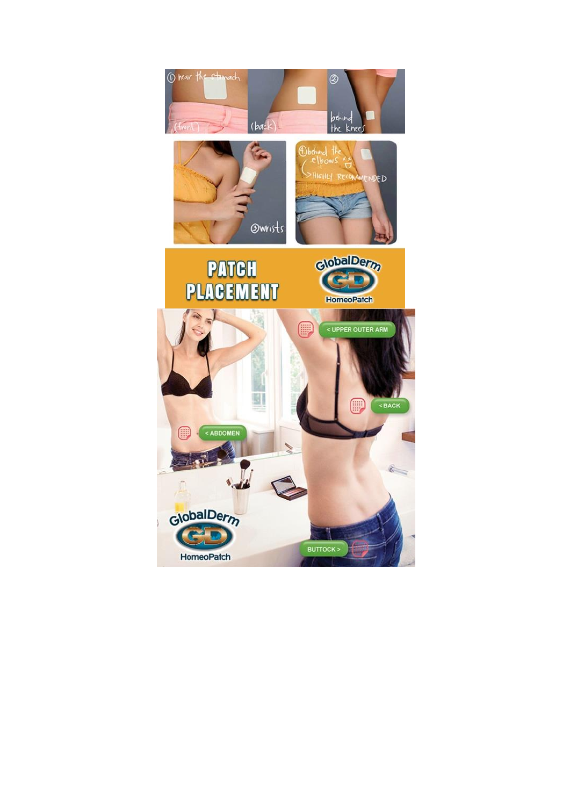